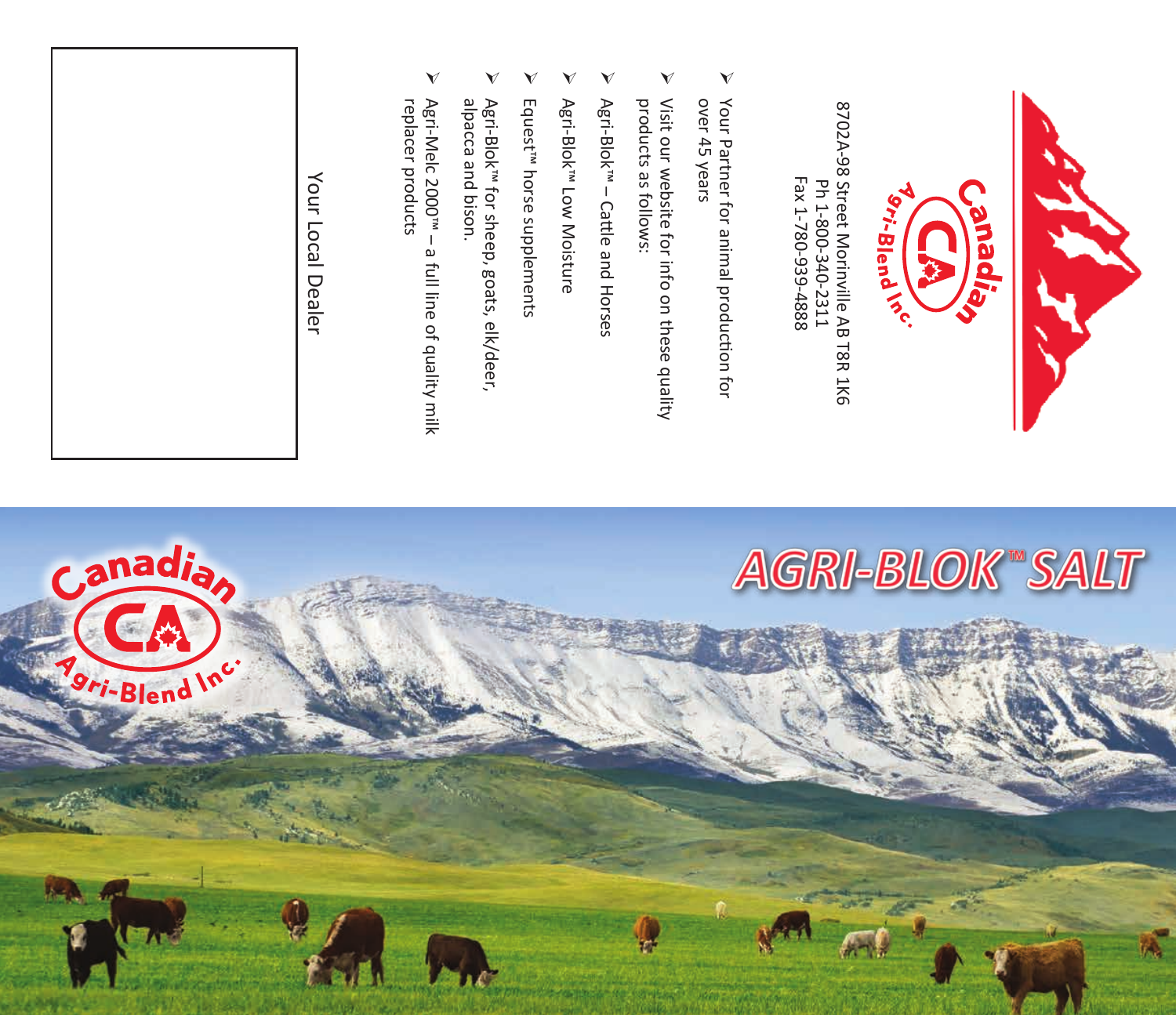